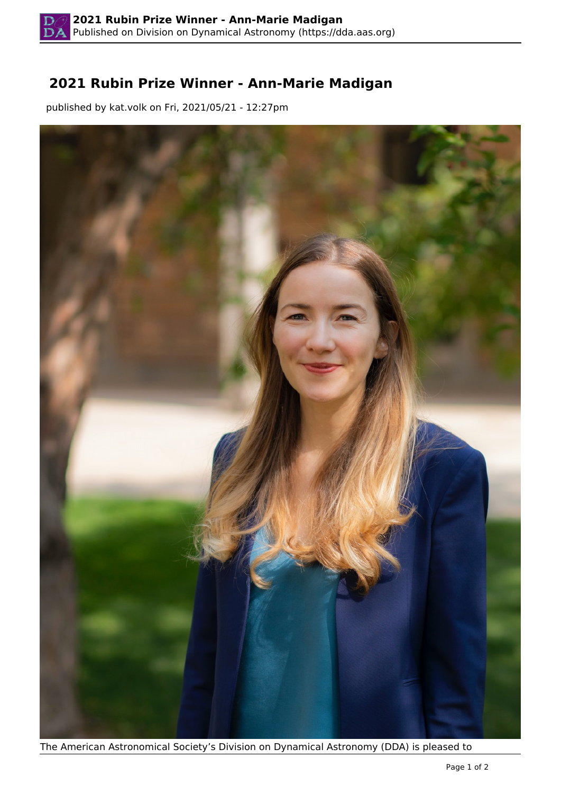## **2021 Rubin Prize Winner - Ann-Marie Madigan**

published by kat.volk on Fri, 2021/05/21 - 12:27pm



The American Astronomical Society's Division on Dynamical Astronomy (DDA) is pleased to